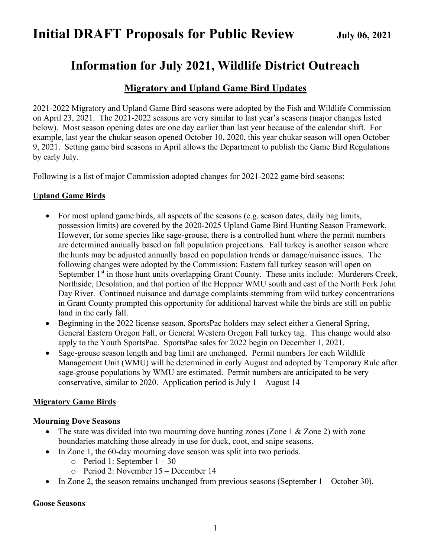# **Information for July 2021, Wildlife District Outreach**

## **Migratory and Upland Game Bird Updates**

2021-2022 Migratory and Upland Game Bird seasons were adopted by the Fish and Wildlife Commission on April 23, 2021. The 2021-2022 seasons are very similar to last year's seasons (major changes listed below). Most season opening dates are one day earlier than last year because of the calendar shift. For example, last year the chukar season opened October 10, 2020, this year chukar season will open October 9, 2021. Setting game bird seasons in April allows the Department to publish the Game Bird Regulations by early July.

Following is a list of major Commission adopted changes for 2021-2022 game bird seasons:

## **Upland Game Birds**

- For most upland game birds, all aspects of the seasons (e.g. season dates, daily bag limits, possession limits) are covered by the 2020-2025 Upland Game Bird Hunting Season Framework. However, for some species like sage-grouse, there is a controlled hunt where the permit numbers are determined annually based on fall population projections. Fall turkey is another season where the hunts may be adjusted annually based on population trends or damage/nuisance issues. The following changes were adopted by the Commission: Eastern fall turkey season will open on September 1<sup>st</sup> in those hunt units overlapping Grant County. These units include: Murderers Creek, Northside, Desolation, and that portion of the Heppner WMU south and east of the North Fork John Day River. Continued nuisance and damage complaints stemming from wild turkey concentrations in Grant County prompted this opportunity for additional harvest while the birds are still on public land in the early fall.
- Beginning in the 2022 license season, SportsPac holders may select either a General Spring, General Eastern Oregon Fall, or General Western Oregon Fall turkey tag. This change would also apply to the Youth SportsPac. SportsPac sales for 2022 begin on December 1, 2021.
- Sage-grouse season length and bag limit are unchanged. Permit numbers for each Wildlife Management Unit (WMU) will be determined in early August and adopted by Temporary Rule after sage-grouse populations by WMU are estimated. Permit numbers are anticipated to be very conservative, similar to 2020. Application period is July 1 – August 14

## **Migratory Game Birds**

## **Mourning Dove Seasons**

- The state was divided into two mourning dove hunting zones (Zone 1 & Zone 2) with zone boundaries matching those already in use for duck, coot, and snipe seasons.
- In Zone 1, the 60-day mourning dove season was split into two periods.
	- $\circ$  Period 1: September 1 30
	- o Period 2: November 15 December 14
- In Zone 2, the season remains unchanged from previous seasons (September  $1 -$ October 30).

### **Goose Seasons**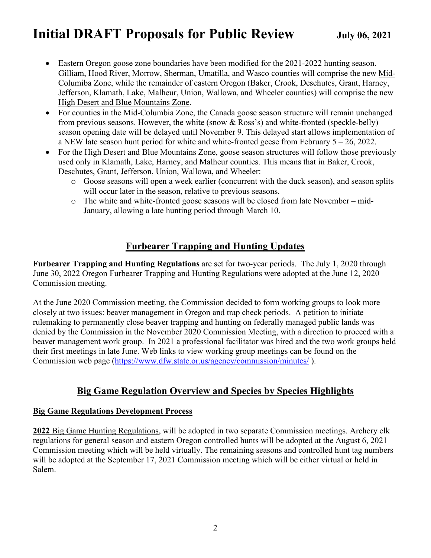- Eastern Oregon goose zone boundaries have been modified for the 2021-2022 hunting season. Gilliam, Hood River, Morrow, Sherman, Umatilla, and Wasco counties will comprise the new Mid-Columiba Zone, while the remainder of eastern Oregon (Baker, Crook, Deschutes, Grant, Harney, Jefferson, Klamath, Lake, Malheur, Union, Wallowa, and Wheeler counties) will comprise the new High Desert and Blue Mountains Zone.
- For counties in the Mid-Columbia Zone, the Canada goose season structure will remain unchanged from previous seasons. However, the white (snow & Ross's) and white-fronted (speckle-belly) season opening date will be delayed until November 9. This delayed start allows implementation of a NEW late season hunt period for white and white-fronted geese from February 5 – 26, 2022.
- For the High Desert and Blue Mountains Zone, goose season structures will follow those previously used only in Klamath, Lake, Harney, and Malheur counties. This means that in Baker, Crook, Deschutes, Grant, Jefferson, Union, Wallowa, and Wheeler:
	- o Goose seasons will open a week earlier (concurrent with the duck season), and season splits will occur later in the season, relative to previous seasons.
	- o The white and white-fronted goose seasons will be closed from late November mid-January, allowing a late hunting period through March 10.

## **Furbearer Trapping and Hunting Updates**

**Furbearer Trapping and Hunting Regulations** are set for two-year periods. The July 1, 2020 through June 30, 2022 Oregon Furbearer Trapping and Hunting Regulations were adopted at the June 12, 2020 Commission meeting.

At the June 2020 Commission meeting, the Commission decided to form working groups to look more closely at two issues: beaver management in Oregon and trap check periods. A petition to initiate rulemaking to permanently close beaver trapping and hunting on federally managed public lands was denied by the Commission in the November 2020 Commission Meeting, with a direction to proceed with a beaver management work group. In 2021 a professional facilitator was hired and the two work groups held their first meetings in late June. Web links to view working group meetings can be found on the Commission web page [\(https://www.dfw.state.or.us/agency/commission/minutes/](https://www.dfw.state.or.us/agency/commission/minutes/) ).

## **Big Game Regulation Overview and Species by Species Highlights**

## **Big Game Regulations Development Process**

**2022** Big Game Hunting Regulations, will be adopted in two separate Commission meetings. Archery elk regulations for general season and eastern Oregon controlled hunts will be adopted at the August 6, 2021 Commission meeting which will be held virtually. The remaining seasons and controlled hunt tag numbers will be adopted at the September 17, 2021 Commission meeting which will be either virtual or held in Salem.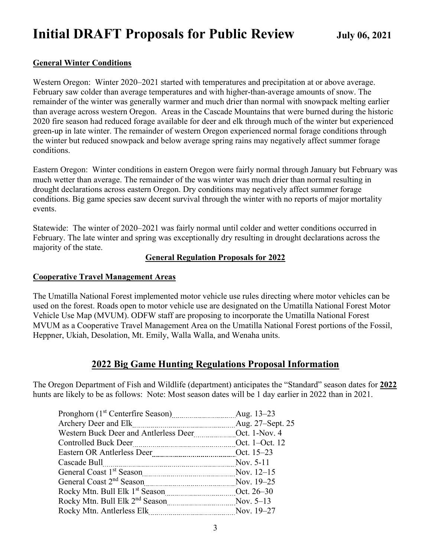## **General Winter Conditions**

Western Oregon: Winter 2020–2021 started with temperatures and precipitation at or above average. February saw colder than average temperatures and with higher-than-average amounts of snow. The remainder of the winter was generally warmer and much drier than normal with snowpack melting earlier than average across western Oregon. Areas in the Cascade Mountains that were burned during the historic 2020 fire season had reduced forage available for deer and elk through much of the winter but experienced green-up in late winter. The remainder of western Oregon experienced normal forage conditions through the winter but reduced snowpack and below average spring rains may negatively affect summer forage conditions.

Eastern Oregon: Winter conditions in eastern Oregon were fairly normal through January but February was much wetter than average. The remainder of the was winter was much drier than normal resulting in drought declarations across eastern Oregon. Dry conditions may negatively affect summer forage conditions. Big game species saw decent survival through the winter with no reports of major mortality events.

Statewide: The winter of 2020–2021 was fairly normal until colder and wetter conditions occurred in February. The late winter and spring was exceptionally dry resulting in drought declarations across the majority of the state.

## **General Regulation Proposals for 2022**

### **Cooperative Travel Management Areas**

The Umatilla National Forest implemented motor vehicle use rules directing where motor vehicles can be used on the forest. Roads open to motor vehicle use are designated on the Umatilla National Forest Motor Vehicle Use Map (MVUM). ODFW staff are proposing to incorporate the Umatilla National Forest MVUM as a Cooperative Travel Management Area on the Umatilla National Forest portions of the Fossil, Heppner, Ukiah, Desolation, Mt. Emily, Walla Walla, and Wenaha units.

## **2022 Big Game Hunting Regulations Proposal Information**

The Oregon Department of Fish and Wildlife (department) anticipates the "Standard" season dates for **2022**  hunts are likely to be as follows: Note: Most season dates will be 1 day earlier in 2022 than in 2021.

|                                                                           | Aug. 13–23       |
|---------------------------------------------------------------------------|------------------|
| Archery Deer and Elk                                                      | Aug. 27–Sept. 25 |
|                                                                           |                  |
| Det. 1–Oct. 12<br><b>Controlled Buck Deer</b>                             |                  |
|                                                                           |                  |
| Cascade Bull                                                              | Nov. 5-11        |
| General Coast 1 <sup>st</sup> Season Mov. 12–15                           |                  |
|                                                                           | Nov. 19–25       |
|                                                                           |                  |
| Rocky Mtn. Bull Elk 2 <sup>nd</sup> Season <b>Mustam Manual</b> Nov. 5-13 |                  |
| Rocky Mtn. Antlerless Elk<br>-------------------------------------        | Nov. 19–27       |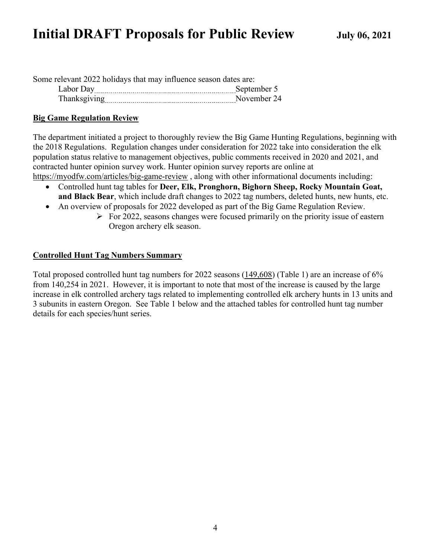| Some relevant 2022 holidays that may influence season dates are: |             |
|------------------------------------------------------------------|-------------|
| Labor Day                                                        | September 5 |
| Thanksgiving                                                     | November 24 |

## **Big Game Regulation Review**

The department initiated a project to thoroughly review the Big Game Hunting Regulations, beginning with the 2018 Regulations. Regulation changes under consideration for 2022 take into consideration the elk population status relative to management objectives, public comments received in 2020 and 2021, and contracted hunter opinion survey work. Hunter opinion survey reports are online at <https://myodfw.com/articles/big-game-review>, along with other informational documents including:

- Controlled hunt tag tables for **Deer, Elk, Pronghorn, Bighorn Sheep, Rocky Mountain Goat, and Black Bear**, which include draft changes to 2022 tag numbers, deleted hunts, new hunts, etc.
- An overview of proposals for 2022 developed as part of the Big Game Regulation Review.
	- $\triangleright$  For 2022, seasons changes were focused primarily on the priority issue of eastern Oregon archery elk season.

## **Controlled Hunt Tag Numbers Summary**

Total proposed controlled hunt tag numbers for 2022 seasons (149,608) (Table 1) are an increase of 6% from 140,254 in 2021. However, it is important to note that most of the increase is caused by the large increase in elk controlled archery tags related to implementing controlled elk archery hunts in 13 units and 3 subunits in eastern Oregon. See Table 1 below and the attached tables for controlled hunt tag number details for each species/hunt series.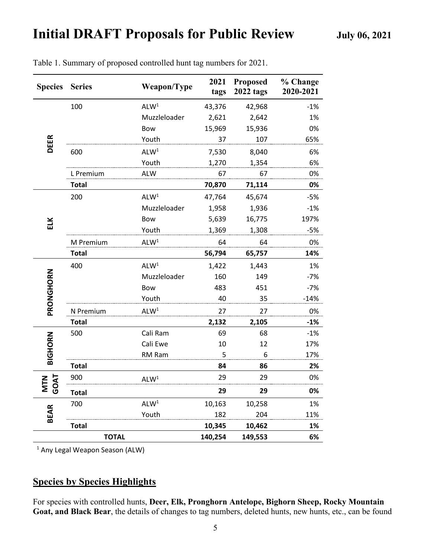| <b>Species</b>     | <b>Series</b> | Weapon/Type      | 2021<br>tags | <b>Proposed</b><br><b>2022 tags</b> | % Change<br>2020-2021 |
|--------------------|---------------|------------------|--------------|-------------------------------------|-----------------------|
| <b>DEER</b>        | 100           | ALW <sup>1</sup> | 43,376       | 42,968                              | $-1%$                 |
|                    |               | Muzzleloader     | 2,621        | 2,642                               | 1%                    |
|                    |               | <b>Bow</b>       | 15,969       | 15,936                              | 0%                    |
|                    |               | Youth            | 37           | 107                                 | 65%                   |
|                    | 600           | ALW <sup>1</sup> | 7,530        | 8,040                               | 6%                    |
|                    |               | Youth            | 1,270        | 1,354                               | 6%                    |
|                    | L Premium     | <b>ALW</b>       | 67           | 67                                  | 0%                    |
|                    | <b>Total</b>  |                  | 70,870       | 71,114                              | 0%                    |
| ELK                | 200           | ALW <sup>1</sup> | 47,764       | 45,674                              | $-5%$                 |
|                    |               | Muzzleloader     | 1,958        | 1,936                               | $-1%$                 |
|                    |               | Bow              | 5,639        | 16,775                              | 197%                  |
|                    |               | Youth            | 1,369        | 1,308                               | $-5%$                 |
|                    | M Premium     | ALW <sup>1</sup> | 64           | 64                                  | 0%                    |
|                    | <b>Total</b>  |                  | 56,794       | 65,757                              | 14%                   |
| PRONGHORN          | 400           | ALW <sup>1</sup> | 1,422        | 1,443                               | 1%                    |
|                    |               | Muzzleloader     | 160          | 149                                 | $-7%$                 |
|                    |               | Bow              | 483          | 451                                 | $-7%$                 |
|                    |               | Youth            | 40           | 35                                  | $-14%$                |
|                    | N Premium     | ALW <sup>1</sup> | 27           | 27                                  | 0%                    |
|                    | <b>Total</b>  |                  | 2,132        | 2,105                               | $-1%$                 |
| <b>BIGHORN</b>     | 500           | Cali Ram         | 69           | 68                                  | $-1%$                 |
|                    |               | Cali Ewe         | 10           | 12                                  | 17%                   |
|                    |               | RM Ram           | 5            | 6                                   | 17%                   |
|                    | <b>Total</b>  |                  | 84           | 86                                  | 2%                    |
| GOAT<br><b>NIN</b> | 900           | ALW <sup>1</sup> | 29           | 29                                  | 0%                    |
|                    | Total         |                  | 29           | 29                                  | 0%                    |
| <b>BEAR</b>        | 700           | ALW <sup>1</sup> | 10,163       | 10,258                              | 1%                    |
|                    |               | Youth            | 182          | 204                                 | 11%                   |
|                    | <b>Total</b>  |                  | 10,345       | 10,462                              | 1%                    |
|                    | <b>TOTAL</b>  |                  | 140,254      | 149,553                             | 6%                    |

Table 1. Summary of proposed controlled hunt tag numbers for 2021.

<sup>1</sup> Any Legal Weapon Season (ALW)

## **Species by Species Highlights**

For species with controlled hunts, **Deer, Elk, Pronghorn Antelope, Bighorn Sheep, Rocky Mountain Goat, and Black Bear**, the details of changes to tag numbers, deleted hunts, new hunts, etc., can be found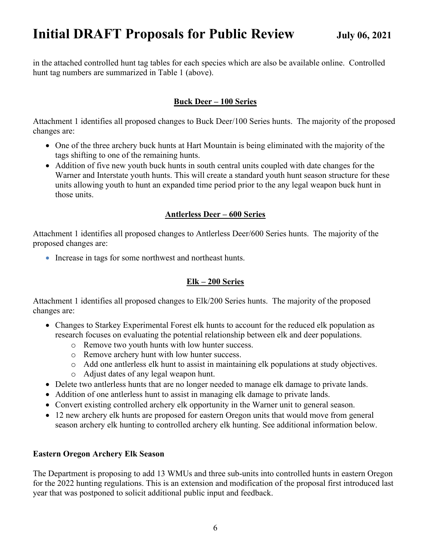in the attached controlled hunt tag tables for each species which are also be available online. Controlled hunt tag numbers are summarized in Table 1 (above).

## **Buck Deer – 100 Series**

Attachment 1 identifies all proposed changes to Buck Deer/100 Series hunts. The majority of the proposed changes are:

- One of the three archery buck hunts at Hart Mountain is being eliminated with the majority of the tags shifting to one of the remaining hunts.
- Addition of five new youth buck hunts in south central units coupled with date changes for the Warner and Interstate youth hunts. This will create a standard youth hunt season structure for these units allowing youth to hunt an expanded time period prior to the any legal weapon buck hunt in those units.

## **Antlerless Deer – 600 Series**

Attachment 1 identifies all proposed changes to Antlerless Deer/600 Series hunts. The majority of the proposed changes are:

• Increase in tags for some northwest and northeast hunts.

## **Elk – 200 Series**

Attachment 1 identifies all proposed changes to Elk/200 Series hunts. The majority of the proposed changes are:

- Changes to Starkey Experimental Forest elk hunts to account for the reduced elk population as research focuses on evaluating the potential relationship between elk and deer populations.
	- o Remove two youth hunts with low hunter success.
	- o Remove archery hunt with low hunter success.
	- o Add one antlerless elk hunt to assist in maintaining elk populations at study objectives. o Adjust dates of any legal weapon hunt.
- Delete two antierless hunts that are no longer needed to manage elk damage to private lands.
- Addition of one antlerless hunt to assist in managing elk damage to private lands.
- Convert existing controlled archery elk opportunity in the Warner unit to general season.
- 12 new archery elk hunts are proposed for eastern Oregon units that would move from general season archery elk hunting to controlled archery elk hunting. See additional information below.

## **Eastern Oregon Archery Elk Season**

The Department is proposing to add 13 WMUs and three sub-units into controlled hunts in eastern Oregon for the 2022 hunting regulations. This is an extension and modification of the proposal first introduced last year that was postponed to solicit additional public input and feedback.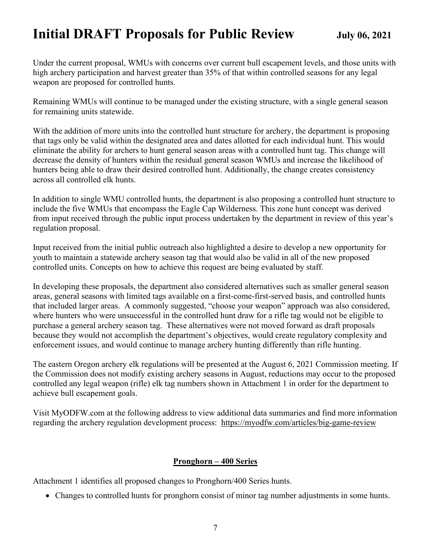Under the current proposal, WMUs with concerns over current bull escapement levels, and those units with high archery participation and harvest greater than 35% of that within controlled seasons for any legal weapon are proposed for controlled hunts.

Remaining WMUs will continue to be managed under the existing structure, with a single general season for remaining units statewide.

With the addition of more units into the controlled hunt structure for archery, the department is proposing that tags only be valid within the designated area and dates allotted for each individual hunt. This would eliminate the ability for archers to hunt general season areas with a controlled hunt tag. This change will decrease the density of hunters within the residual general season WMUs and increase the likelihood of hunters being able to draw their desired controlled hunt. Additionally, the change creates consistency across all controlled elk hunts.

In addition to single WMU controlled hunts, the department is also proposing a controlled hunt structure to include the five WMUs that encompass the Eagle Cap Wilderness. This zone hunt concept was derived from input received through the public input process undertaken by the department in review of this year's regulation proposal.

Input received from the initial public outreach also highlighted a desire to develop a new opportunity for youth to maintain a statewide archery season tag that would also be valid in all of the new proposed controlled units. Concepts on how to achieve this request are being evaluated by staff.

In developing these proposals, the department also considered alternatives such as smaller general season areas, general seasons with limited tags available on a first-come-first-served basis, and controlled hunts that included larger areas. A commonly suggested, "choose your weapon" approach was also considered, where hunters who were unsuccessful in the controlled hunt draw for a rifle tag would not be eligible to purchase a general archery season tag. These alternatives were not moved forward as draft proposals because they would not accomplish the department's objectives, would create regulatory complexity and enforcement issues, and would continue to manage archery hunting differently than rifle hunting.

The eastern Oregon archery elk regulations will be presented at the August 6, 2021 Commission meeting. If the Commission does not modify existing archery seasons in August, reductions may occur to the proposed controlled any legal weapon (rifle) elk tag numbers shown in Attachment 1 in order for the department to achieve bull escapement goals.

Visit MyODFW.com at the following address to view additional data summaries and find more information regarding the archery regulation development process: <https://myodfw.com/articles/big-game-review>

## **Pronghorn – 400 Series**

Attachment 1 identifies all proposed changes to Pronghorn/400 Series hunts.

• Changes to controlled hunts for pronghorn consist of minor tag number adjustments in some hunts.